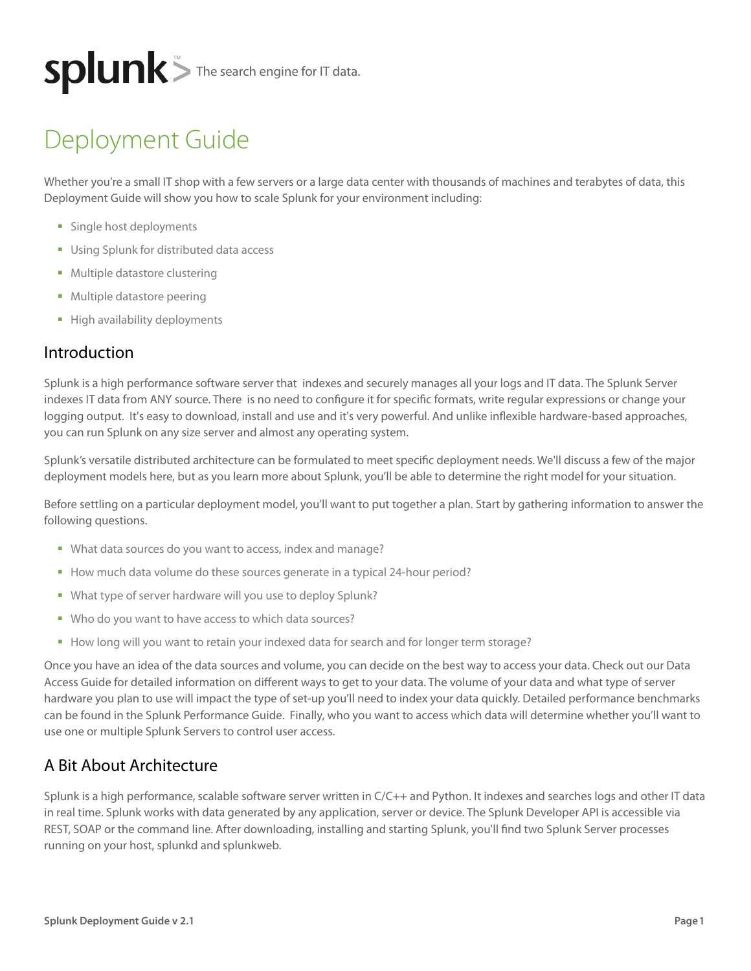# $splunk$  The search engine for IT data.

# Deployment Guide

Whether you're a small IT shop with a few servers or a large data center with thousands of machines and terabytes of data, this Deployment Guide will show you how to scale Splunk for your environment including:

- **Single host deployments**
- **Using Splunk for distributed data access**
- **Multiple datastore clustering**
- **Multiple datastore peering**
- **High availability deployments**

#### Introduction

Splunk is a high performance software server that indexes and securely manages all your logs and IT data. The Splunk Server indexes IT data from ANY source. There is no need to configure it for specific formats, write regular expressions or change your logging output. It's easy to download, install and use and it's very powerful. And unlike inflexible hardware-based approaches, you can run Splunk on any size server and almost any operating system.

Splunk's versatile distributed architecture can be formulated to meet specific deployment needs. We'll discuss a few of the major deployment models here, but as you learn more about Splunk, you'll be able to determine the right model for your situation.

Before settling on a particular deployment model, you'll want to put together a plan. Start by gathering information to answer the following questions.

- What data sources do you want to access, index and manage?
- How much data volume do these sources generate in a typical 24-hour period?
- What type of server hardware will you use to deploy Splunk?
- Who do you want to have access to which data sources?
- How long will you want to retain your indexed data for search and for longer term storage?

Once you have an idea of the data sources and volume, you can decide on the best way to access your data. Check out our Data Access Guide for detailed information on different ways to get to your data. The volume of your data and what type of server hardware you plan to use will impact the type of set-up you'll need to index your data quickly. Detailed performance benchmarks can be found in the Splunk Performance Guide. Finally, who you want to access which data will determine whether you'll want to use one or multiple Splunk Servers to control user access.

#### A Bit About Architecture

Splunk is a high performance, scalable software server written in C/C++ and Python. It indexes and searches logs and other IT data in real time. Splunk works with data generated by any application, server or device. The Splunk Developer API is accessible via REST, SOAP or the command line. After downloading, installing and starting Splunk, you'll find two Splunk Server processes running on your host, splunkd and splunkweb.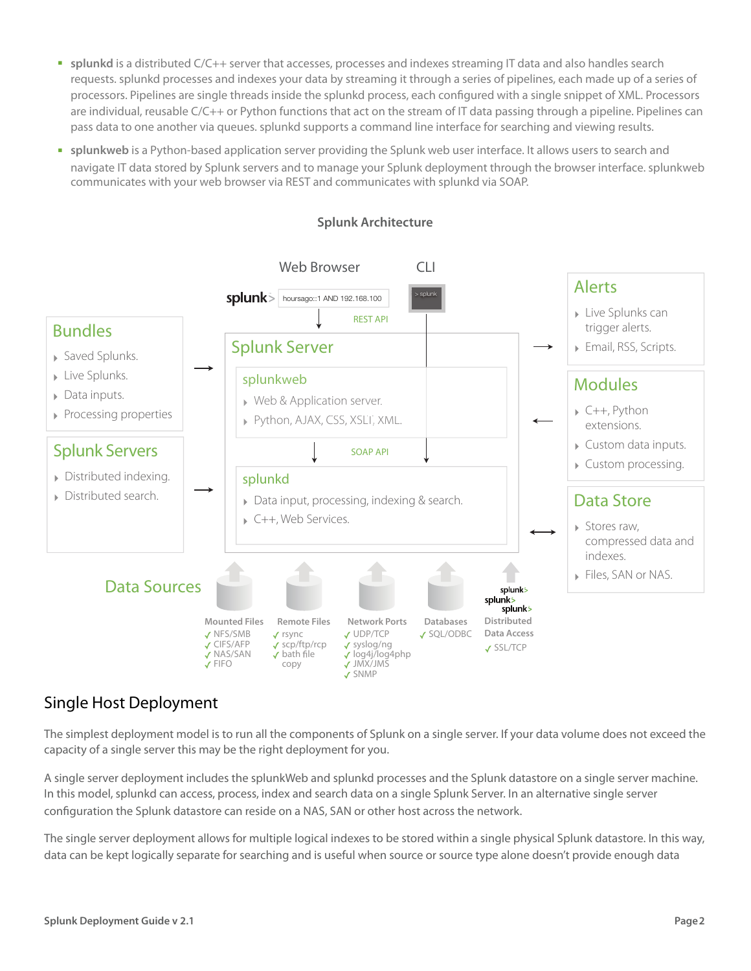- **splunkd** is a distributed C/C++ server that accesses, processes and indexes streaming IT data and also handles search requests. splunkd processes and indexes your data by streaming it through a series of pipelines, each made up of a series of processors. Pipelines are single threads inside the splunkd process, each configured with a single snippet of XML. Processors are individual, reusable C/C++ or Python functions that act on the stream of IT data passing through a pipeline. Pipelines can pass data to one another via queues. splunkd supports a command line interface for searching and viewing results.
- **splunkweb** is a Python-based application server providing the Splunk web user interface. It allows users to search and navigate IT data stored by Splunk servers and to manage your Splunk deployment through the browser interface. splunkweb communicates with your web browser via REST and communicates with splunkd via SOAP.



#### **Splunk Architecture**

## Single Host Deployment

The simplest deployment model is to run all the components of Splunk on a single server. If your data volume does not exceed the capacity of a single server this may be the right deployment for you.

A single server deployment includes the splunkWeb and splunkd processes and the Splunk datastore on a single server machine. In this model, splunkd can access, process, index and search data on a single Splunk Server. In an alternative single server configuration the Splunk datastore can reside on a NAS, SAN or other host across the network.

The single server deployment allows for multiple logical indexes to be stored within a single physical Splunk datastore. In this way, data can be kept logically separate for searching and is useful when source or source type alone doesn't provide enough data